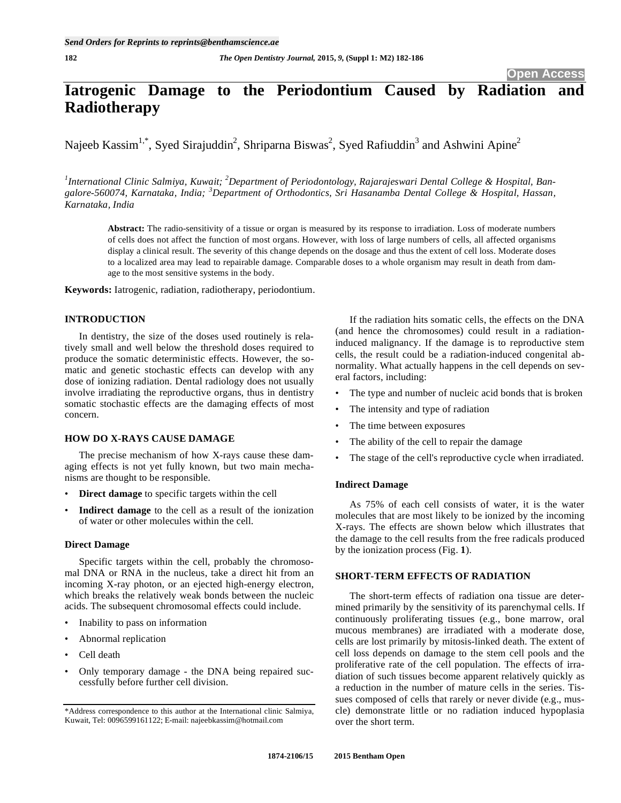# **Iatrogenic Damage to the Periodontium Caused by Radiation and Radiotherapy**

Najeeb Kassim<sup>1,\*</sup>, Syed Sirajuddin<sup>2</sup>, Shriparna Biswas<sup>2</sup>, Syed Rafiuddin<sup>3</sup> and Ashwini Apine<sup>2</sup>

<sup>1</sup> International Clinic Salmiya, Kuwait; <sup>2</sup>Department of Periodontology, Rajarajeswari Dental College & Hospital, Ban*galore-560074, Karnataka, India; <sup>3</sup> Department of Orthodontics, Sri Hasanamba Dental College & Hospital, Hassan, Karnataka, India* 

**Abstract:** The radio-sensitivity of a tissue or organ is measured by its response to irradiation. Loss of moderate numbers of cells does not affect the function of most organs. However, with loss of large numbers of cells, all affected organisms display a clinical result. The severity of this change depends on the dosage and thus the extent of cell loss. Moderate doses to a localized area may lead to repairable damage. Comparable doses to a whole organism may result in death from damage to the most sensitive systems in the body.

**Keywords:** Iatrogenic, radiation, radiotherapy, periodontium.

# **INTRODUCTION**

In dentistry, the size of the doses used routinely is relatively small and well below the threshold doses required to produce the somatic deterministic effects. However, the somatic and genetic stochastic effects can develop with any dose of ionizing radiation. Dental radiology does not usually involve irradiating the reproductive organs, thus in dentistry somatic stochastic effects are the damaging effects of most concern.

### **HOW DO X-RAYS CAUSE DAMAGE**

The precise mechanism of how X-rays cause these damaging effects is not yet fully known, but two main mechanisms are thought to be responsible.

- **Direct damage** to specific targets within the cell
- **Indirect damage** to the cell as a result of the ionization of water or other molecules within the cell.

## **Direct Damage**

Specific targets within the cell, probably the chromosomal DNA or RNA in the nucleus, take a direct hit from an incoming X-ray photon, or an ejected high-energy electron, which breaks the relatively weak bonds between the nucleic acids. The subsequent chromosomal effects could include.

- Inability to pass on information
- Abnormal replication
- Cell death
- Only temporary damage the DNA being repaired successfully before further cell division.

If the radiation hits somatic cells, the effects on the DNA (and hence the chromosomes) could result in a radiationinduced malignancy. If the damage is to reproductive stem cells, the result could be a radiation-induced congenital abnormality. What actually happens in the cell depends on several factors, including:

- The type and number of nucleic acid bonds that is broken
- The intensity and type of radiation
- The time between exposures
- The ability of the cell to repair the damage
- The stage of the cell's reproductive cycle when irradiated.

## **Indirect Damage**

As 75% of each cell consists of water, it is the water molecules that are most likely to be ionized by the incoming X-rays. The effects are shown below which illustrates that the damage to the cell results from the free radicals produced by the ionization process (Fig. **1**).

## **SHORT-TERM EFFECTS OF RADIATION**

The short-term effects of radiation ona tissue are determined primarily by the sensitivity of its parenchymal cells. If continuously proliferating tissues (e.g., bone marrow, oral mucous membranes) are irradiated with a moderate dose, cells are lost primarily by mitosis-linked death. The extent of cell loss depends on damage to the stem cell pools and the proliferative rate of the cell population. The effects of irradiation of such tissues become apparent relatively quickly as a reduction in the number of mature cells in the series. Tissues composed of cells that rarely or never divide (e.g., muscle) demonstrate little or no radiation induced hypoplasia over the short term.

<sup>\*</sup>Address correspondence to this author at the International clinic Salmiya, Kuwait, Tel: 0096599161122; E-mail: najeebkassim@hotmail.com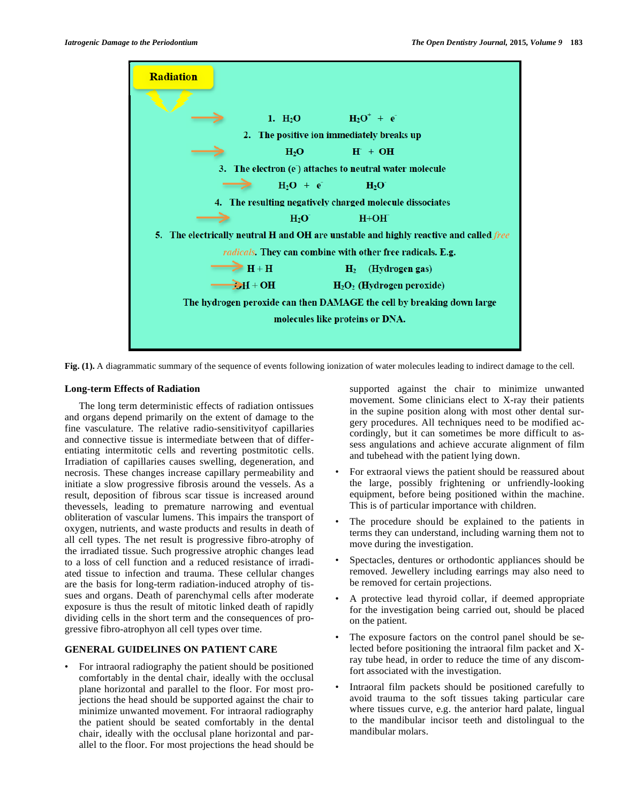

**Fig. (1).** A diagrammatic summary of the sequence of events following ionization of water molecules leading to indirect damage to the cell.

## **Long-term Effects of Radiation**

The long term deterministic effects of radiation ontissues and organs depend primarily on the extent of damage to the fine vasculature. The relative radio-sensitivityof capillaries and connective tissue is intermediate between that of differentiating intermitotic cells and reverting postmitotic cells. Irradiation of capillaries causes swelling, degeneration, and necrosis. These changes increase capillary permeability and initiate a slow progressive fibrosis around the vessels. As a result, deposition of fibrous scar tissue is increased around thevessels, leading to premature narrowing and eventual obliteration of vascular lumens. This impairs the transport of oxygen, nutrients, and waste products and results in death of all cell types. The net result is progressive fibro-atrophy of the irradiated tissue. Such progressive atrophic changes lead to a loss of cell function and a reduced resistance of irradiated tissue to infection and trauma. These cellular changes are the basis for long-term radiation-induced atrophy of tissues and organs. Death of parenchymal cells after moderate exposure is thus the result of mitotic linked death of rapidly dividing cells in the short term and the consequences of progressive fibro-atrophyon all cell types over time.

# **GENERAL GUIDELINES ON PATIENT CARE**

• For intraoral radiography the patient should be positioned comfortably in the dental chair, ideally with the occlusal plane horizontal and parallel to the floor. For most projections the head should be supported against the chair to minimize unwanted movement. For intraoral radiography the patient should be seated comfortably in the dental chair, ideally with the occlusal plane horizontal and parallel to the floor. For most projections the head should be

supported against the chair to minimize unwanted movement. Some clinicians elect to X-ray their patients in the supine position along with most other dental surgery procedures. All techniques need to be modified accordingly, but it can sometimes be more difficult to assess angulations and achieve accurate alignment of film and tubehead with the patient lying down.

- For extraoral views the patient should be reassured about the large, possibly frightening or unfriendly-looking equipment, before being positioned within the machine. This is of particular importance with children.
- The procedure should be explained to the patients in terms they can understand, including warning them not to move during the investigation.
- Spectacles, dentures or orthodontic appliances should be removed. Jewellery including earrings may also need to be removed for certain projections.
- A protective lead thyroid collar, if deemed appropriate for the investigation being carried out, should be placed on the patient.
- The exposure factors on the control panel should be selected before positioning the intraoral film packet and Xray tube head, in order to reduce the time of any discomfort associated with the investigation.
- Intraoral film packets should be positioned carefully to avoid trauma to the soft tissues taking particular care where tissues curve, e.g. the anterior hard palate, lingual to the mandibular incisor teeth and distolingual to the mandibular molars.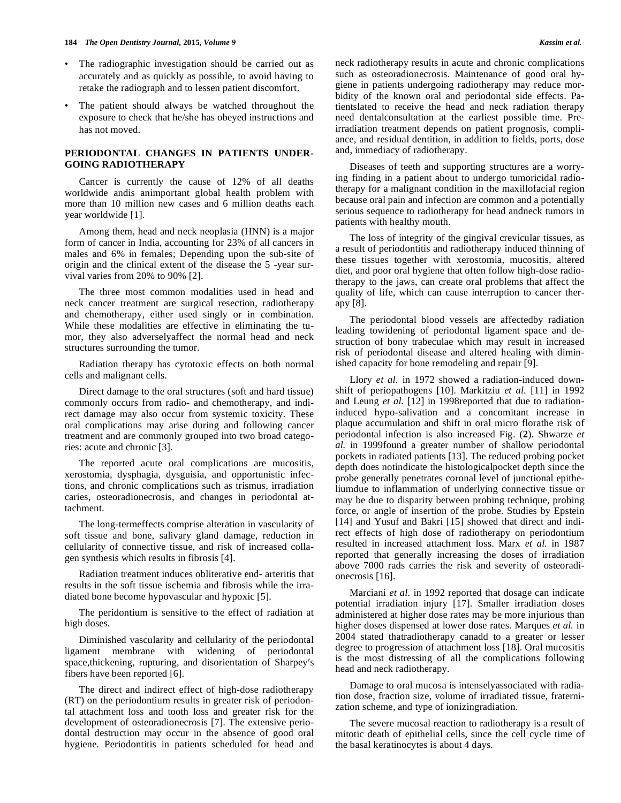- The radiographic investigation should be carried out as accurately and as quickly as possible, to avoid having to retake the radiograph and to lessen patient discomfort.
- The patient should always be watched throughout the exposure to check that he/she has obeyed instructions and has not moved.

## **PERIODONTAL CHANGES IN PATIENTS UNDER-GOING RADIOTHERAPY**

Cancer is currently the cause of 12% of all deaths worldwide andis animportant global health problem with more than 10 million new cases and 6 million deaths each year worldwide [1].

Among them, head and neck neoplasia (HNN) is a major form of cancer in India, accounting for 23% of all cancers in males and 6% in females; Depending upon the sub-site of origin and the clinical extent of the disease the 5 -year survival varies from 20% to 90% [2].

The three most common modalities used in head and neck cancer treatment are surgical resection, radiotherapy and chemotherapy, either used singly or in combination. While these modalities are effective in eliminating the tumor, they also adverselyaffect the normal head and neck structures surrounding the tumor.

Radiation therapy has cytotoxic effects on both normal cells and malignant cells.

Direct damage to the oral structures (soft and hard tissue) commonly occurs from radio- and chemotherapy, and indirect damage may also occur from systemic toxicity. These oral complications may arise during and following cancer treatment and are commonly grouped into two broad categories: acute and chronic [3].

The reported acute oral complications are mucositis, xerostomia, dysphagia, dysguisia, and opportunistic infections, and chronic complications such as trismus, irradiation caries, osteoradionecrosis, and changes in periodontal attachment.

The long-termeffects comprise alteration in vascularity of soft tissue and bone, salivary gland damage, reduction in cellularity of connective tissue, and risk of increased collagen synthesis which results in fibrosis [4].

Radiation treatment induces obliterative end- arteritis that results in the soft tissue ischemia and fibrosis while the irradiated bone become hypovascular and hypoxic [5].

The peridontium is sensitive to the effect of radiation at high doses.

Diminished vascularity and cellularity of the periodontal ligament membrane with widening of periodontal space, thickening, rupturing, and disorientation of Sharpey's fibers have been reported [6].

The direct and indirect effect of high-dose radiotherapy (RT) on the periodontium results in greater risk of periodontal attachment loss and tooth loss and greater risk for the development of osteoradionecrosis [7]. The extensive periodontal destruction may occur in the absence of good oral hygiene. Periodontitis in patients scheduled for head and

neck radiotherapy results in acute and chronic complications such as osteoradionecrosis. Maintenance of good oral hygiene in patients undergoing radiotherapy may reduce morbidity of the known oral and periodontal side effects. Patientslated to receive the head and neck radiation therapy need dentalconsultation at the earliest possible time. Preirradiation treatment depends on patient prognosis, compliance, and residual dentition, in addition to fields, ports, dose and, immediacy of radiotherapy.

Diseases of teeth and supporting structures are a worrying finding in a patient about to undergo tumoricidal radiotherapy for a malignant condition in the maxillofacial region because oral pain and infection are common and a potentially serious sequence to radiotherapy for head andneck tumors in patients with healthy mouth.

The loss of integrity of the gingival crevicular tissues, as a result of periodontitis and radiotherapy induced thinning of these tissues together with xerostomia, mucositis, altered diet, and poor oral hygiene that often follow high-dose radiotherapy to the jaws, can create oral problems that affect the quality of life, which can cause interruption to cancer therapy [8].

The periodontal blood vessels are affectedby radiation leading towidening of periodontal ligament space and destruction of bony trabeculae which may result in increased risk of periodontal disease and altered healing with diminished capacity for bone remodeling and repair [9].

Llory *et al.* in 1972 showed a radiation-induced downshift of periopathogens [10]. Markitziu *et al.* [11] in 1992 and Leung *et al.* [12] in 1998reported that due to radiationinduced hypo-salivation and a concomitant increase in plaque accumulation and shift in oral micro florathe risk of periodontal infection is also increased Fig. (**2**). Shwarze *et al.* in 1999found a greater number of shallow periodontal pockets in radiated patients [13]. The reduced probing pocket depth does notindicate the histologicalpocket depth since the probe generally penetrates coronal level of junctional epitheliumdue to inflammation of underlying connective tissue or may be due to disparity between probing technique, probing force, or angle of insertion of the probe. Studies by Epstein [14] and Yusuf and Bakri [15] showed that direct and indirect effects of high dose of radiotherapy on periodontium resulted in increased attachment loss. Marx *et al.* in 1987 reported that generally increasing the doses of irradiation above 7000 rads carries the risk and severity of osteoradionecrosis [16].

Marciani *et al.* in 1992 reported that dosage can indicate potential irradiation injury [17]. Smaller irradiation doses administered at higher dose rates may be more injurious than higher doses dispensed at lower dose rates. Marques *et al.* in 2004 stated thatradiotherapy canadd to a greater or lesser degree to progression of attachment loss [18]. Oral mucositis is the most distressing of all the complications following head and neck radiotherapy.

Damage to oral mucosa is intenselyassociated with radiation dose, fraction size, volume of irradiated tissue, fraternization scheme, and type of ionizingradiation.

The severe mucosal reaction to radiotherapy is a result of mitotic death of epithelial cells, since the cell cycle time of the basal keratinocytes is about 4 days.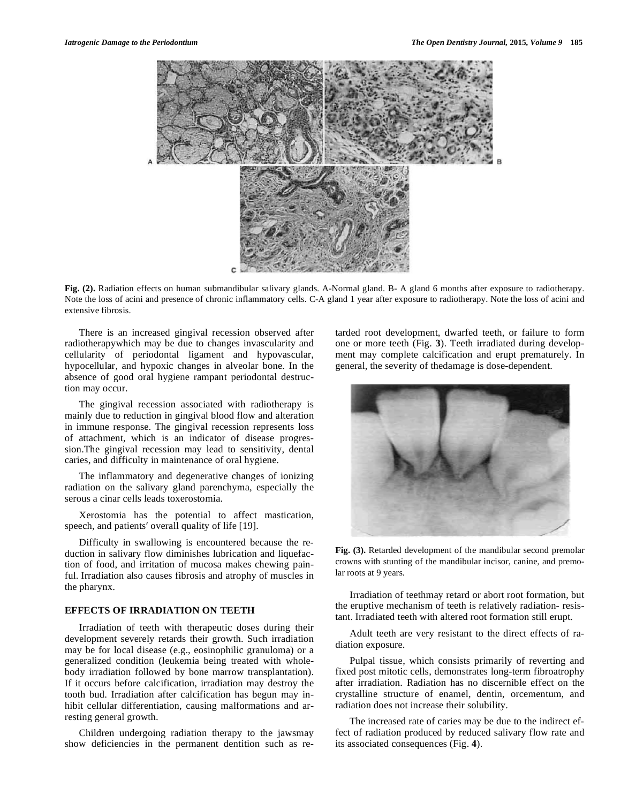

**Fig. (2).** Radiation effects on human submandibular salivary glands. A-Normal gland. B- A gland 6 months after exposure to radiotherapy. Note the loss of acini and presence of chronic inflammatory cells. C-A gland 1 year after exposure to radiotherapy. Note the loss of acini and extensive fibrosis.

There is an increased gingival recession observed after radiotherapywhich may be due to changes invascularity and cellularity of periodontal ligament and hypovascular, hypocellular, and hypoxic changes in alveolar bone. In the absence of good oral hygiene rampant periodontal destruction may occur.

The gingival recession associated with radiotherapy is mainly due to reduction in gingival blood flow and alteration in immune response. The gingival recession represents loss of attachment, which is an indicator of disease progression.The gingival recession may lead to sensitivity, dental caries, and difficulty in maintenance of oral hygiene.

The inflammatory and degenerative changes of ionizing radiation on the salivary gland parenchyma, especially the serous a cinar cells leads toxerostomia.

Xerostomia has the potential to affect mastication, speech, and patients' overall quality of life [19].

Difficulty in swallowing is encountered because the reduction in salivary flow diminishes lubrication and liquefaction of food, and irritation of mucosa makes chewing painful. Irradiation also causes fibrosis and atrophy of muscles in the pharynx.

#### **EFFECTS OF IRRADIATION ON TEETH**

Irradiation of teeth with therapeutic doses during their development severely retards their growth. Such irradiation may be for local disease (e.g., eosinophilic granuloma) or a generalized condition (leukemia being treated with wholebody irradiation followed by bone marrow transplantation). If it occurs before calcification, irradiation may destroy the tooth bud. Irradiation after calcification has begun may inhibit cellular differentiation, causing malformations and arresting general growth.

Children undergoing radiation therapy to the jawsmay show deficiencies in the permanent dentition such as retarded root development, dwarfed teeth, or failure to form one or more teeth (Fig. **3**). Teeth irradiated during development may complete calcification and erupt prematurely. In general, the severity of thedamage is dose-dependent.



**Fig. (3).** Retarded development of the mandibular second premolar crowns with stunting of the mandibular incisor, canine, and premolar roots at 9 years.

Irradiation of teethmay retard or abort root formation, but the eruptive mechanism of teeth is relatively radiation- resistant. Irradiated teeth with altered root formation still erupt.

Adult teeth are very resistant to the direct effects of radiation exposure.

Pulpal tissue, which consists primarily of reverting and fixed post mitotic cells, demonstrates long-term fibroatrophy after irradiation. Radiation has no discernible effect on the crystalline structure of enamel, dentin, orcementum, and radiation does not increase their solubility.

The increased rate of caries may be due to the indirect effect of radiation produced by reduced salivary flow rate and its associated consequences (Fig. **4**).